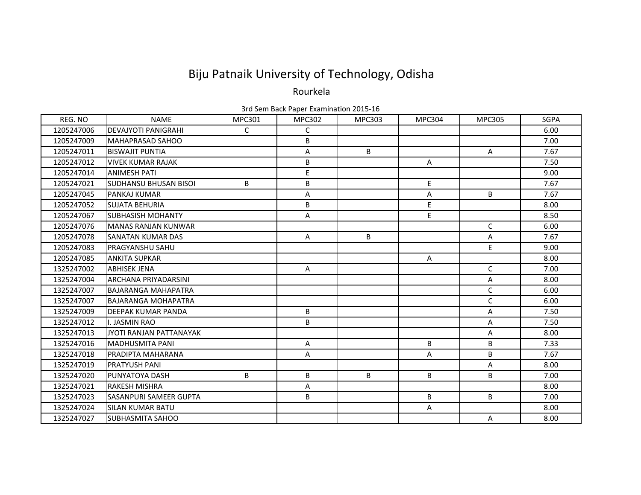## Biju Patnaik University of Technology, Odisha

Rourkela

REG. NO NO NAME MPC301 MPC302 MPC303 MPC304 MPC305 SGPA1205247006 DEVAJYOTI PANIGRAHI C C 6.001205247009 MAHAPRASAD SAHOO B 7.00 1205247011 BISWAJITT PUNTIA A I A A I A I A I A I 7.67 1205247012 **VIVEK KUMAR RAJAK** RRAJAK | IB | A | 7.50 1205247014 ANIMESH PATI E 9.00 1205247021 **SUDHANSU BHUSAN BISOI** N BISOI | B | B | E | M | 7.67 1205247045 PANKAJJKUMAR I A I A I A I B I 7.67 1205247052 SUJATA BEHURIA BEHURIA B E 8.00 1205247067 SUBHASISH MOHANTY MOHANTY A E 8.50 1205247076 MANAS RANJAN KUNWAR KUNWAR C 6.00 1205247078 KUMAR DAS A B A 7.67 1205247083 PRAGYANSHU SAHU E 9.00 1205247085 ANKITA SUPKAR A 8.00 1325247002 ABHISEKKJENA | A | A | C | 7.00 1325247004 PRIYADARSINI A 8.00 1325247007 BAJARANGA MAHAPATRA C 6.00 1325247007 BAJARANGA MOHAPATRA C 6.00 1325247009 DEEPAK KUMAR PANDA PANDA B A 7.50 1325247012 **I. JASMIN RAO**  RAO B A 7.50 1325247013 RANJAN PATTANAYAK A 8.00 1325247016 MADHUSMITA PANI A B B 7.33 1325247018 MAHARANA A A B 7.67 1325247019 PRATYUSHHPANI | | | | | | | | A | 8.00 1325247020 PUNYATOYA DASH BBBBB 7.00 1325247021 | RAKESH MISHRA MISHRA A 8.00 1325247023 SASANPURI SAMEER GUPTA GUPTA B B B 7.00 1325247024 KUMAR BATU A 8.00 1325247027 SUBHASMITA SAHOO0 | | | | | | | | A | 8.00

3rd Sem Back Paper Examination 2015‐16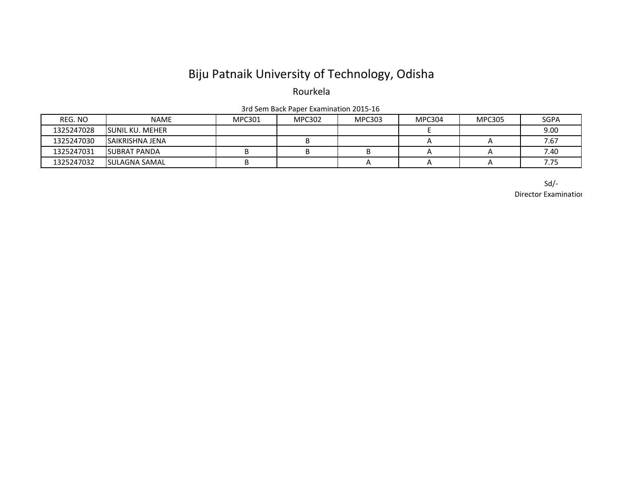## Biju Patnaik University of Technology, Odisha

## Rourkela

3rd Sem Back Paper Examination 2015‐16

| REG. NO    | <b>NAME</b>              | MPC301 | <b>MPC302</b> | MPC303 | MPC304 | MPC305 | SGPA |
|------------|--------------------------|--------|---------------|--------|--------|--------|------|
| 1325247028 | <b>I</b> SUNIL KU. MEHER |        |               |        |        |        | 9.00 |
| 1325247030 | ISAIKRISHNA JENA         |        |               |        |        |        | 7.67 |
| 1325247031 | <b>ISUBRAT PANDA</b>     |        |               |        |        |        | 7.40 |
| 1325247032 | ISULAGNA SAMAL           |        |               |        |        |        | 7.75 |

Sd/‐ Director Examination